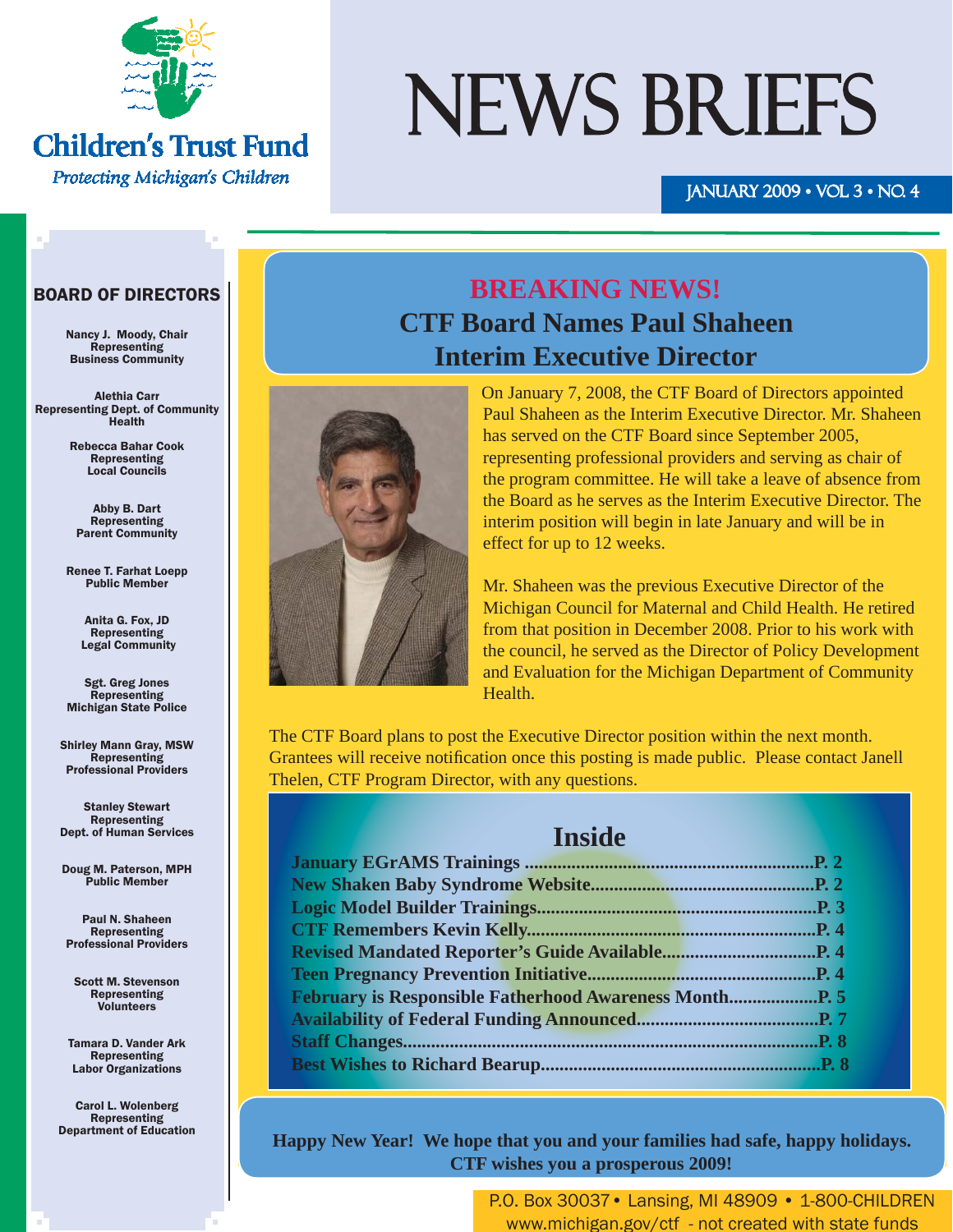

**Children's Trust Fund** 

Protecting Michigan's Children

# NEWS BRIEFS

#### JANUARY 2009 • VOL 3 • NO. 4

#### BOARD OF DIRECTORS

Nancy J. Moody, Chair Representing Business Community

Alethia Carr Representing Dept. of Community Health

> Rebecca Bahar Cook Representing Local Councils

Abby B. Dart **Representing** Parent Community

Renee T. Farhat Loepp Public Member

> Anita G. Fox, JD Representing Legal Community

Sgt. Greg Jones Representing Michigan State Police

Shirley Mann Gray, MSW Representing Professional Providers

Stanley Stewart Representing Dept. of Human Services I

Doug M. Paterson, MPH Public Member

Paul N. Shaheen Representing Professional Providers

Scott M. Stevenson Representing Volunteers

Tamara D. Vander Ark Representing Labor Organizations

Carol L. Wolenberg Representing Department of Education

### **BREAKING NEWS! CTF Board Names Paul Shaheen Interim Executive Director**



 On January 7, 2008, the CTF Board of Directors appointed Paul Shaheen as the Interim Executive Director. Mr. Shaheen has served on the CTF Board since September 2005, representing professional providers and serving as chair of the program committee. He will take a leave of absence from the Board as he serves as the Interim Executive Director. The interim position will begin in late January and will be in effect for up to 12 weeks.

Mr. Shaheen was the previous Executive Director of the Michigan Council for Maternal and Child Health. He retired from that position in December 2008. Prior to his work with the council, he served as the Director of Policy Development and Evaluation for the Michigan Department of Community Health.

The CTF Board plans to post the Executive Director position within the next month. Grantees will receive notification once this posting is made public. Please contact Janell Thelen, CTF Program Director, with any questions.

#### **Inside**

**Happy New Year! We hope that you and your families had safe, happy holidays. CTF wishes you a prosperous 2009!**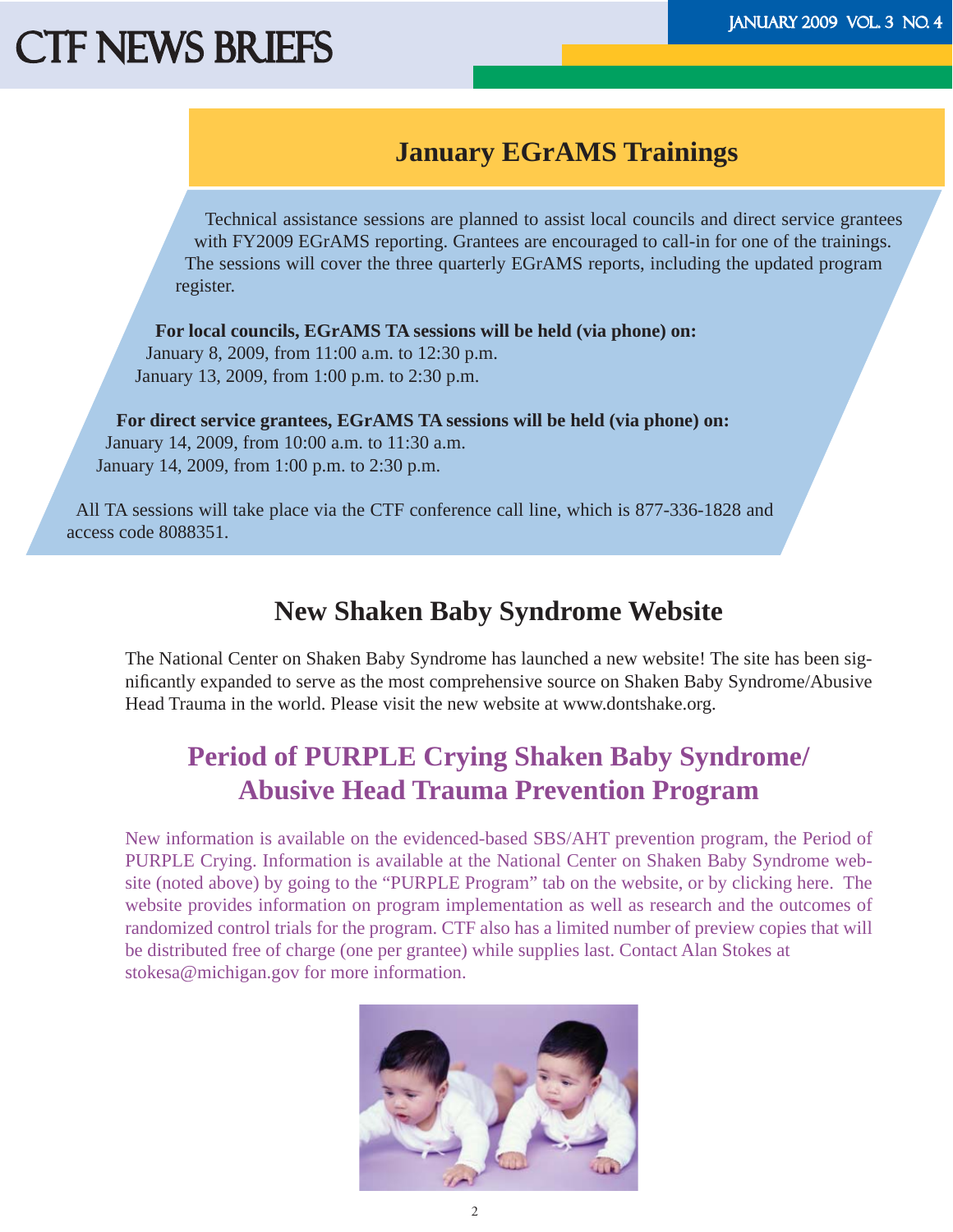# CTF NEWS BRIEFS THE TANUARY 2009 VOL. 3 NO. 4

### **January EGrAMS Trainings**

Technical assistance sessions are planned to assist local councils and direct service grantees with FY2009 EGrAMS reporting. Grantees are encouraged to call-in for one of the trainings. The sessions will cover the three quarterly EGrAMS reports, including the updated program register.

**For local councils, EGrAMS TA sessions will be held (via phone) on:** January 8, 2009, from 11:00 a.m. to 12:30 p.m. January 13, 2009, from 1:00 p.m. to 2:30 p.m.

**For direct service grantees, EGrAMS TA sessions will be held (via phone) on:** January 14, 2009, from 10:00 a.m. to 11:30 a.m. January 14, 2009, from 1:00 p.m. to 2:30 p.m.

All TA sessions will take place via the CTF conference call line, which is 877-336-1828 and access code 8088351.

### **New Shaken Baby Syndrome Website**

The National Center on Shaken Baby Syndrome has launched a new website! The site has been significantly expanded to serve as the most comprehensive source on Shaken Baby Syndrome/Abusive Head Trauma in the world. Please visit the new website at www.dontshake.org.

### **Period of PURPLE Crying Shaken Baby Syndrome/ Abusive Head Trauma Prevention Program**

New information is available on the evidenced-based SBS/AHT prevention program, the Period of PURPLE Crying. Information is available at the National Center on Shaken Baby Syndrome website (noted above) by going to the "PURPLE Program" tab on the website, or by [clicking here.](http://www.dontshake.org/sbs.php?topNavID=4&subNavID=32) The website provides information on program implementation as well as research and the outcomes of randomized control trials for the program. CTF also has a limited number of preview copies that will be distributed free of charge (one per grantee) while supplies last. Contact Alan Stokes at stokesa@michigan.gov for more information.

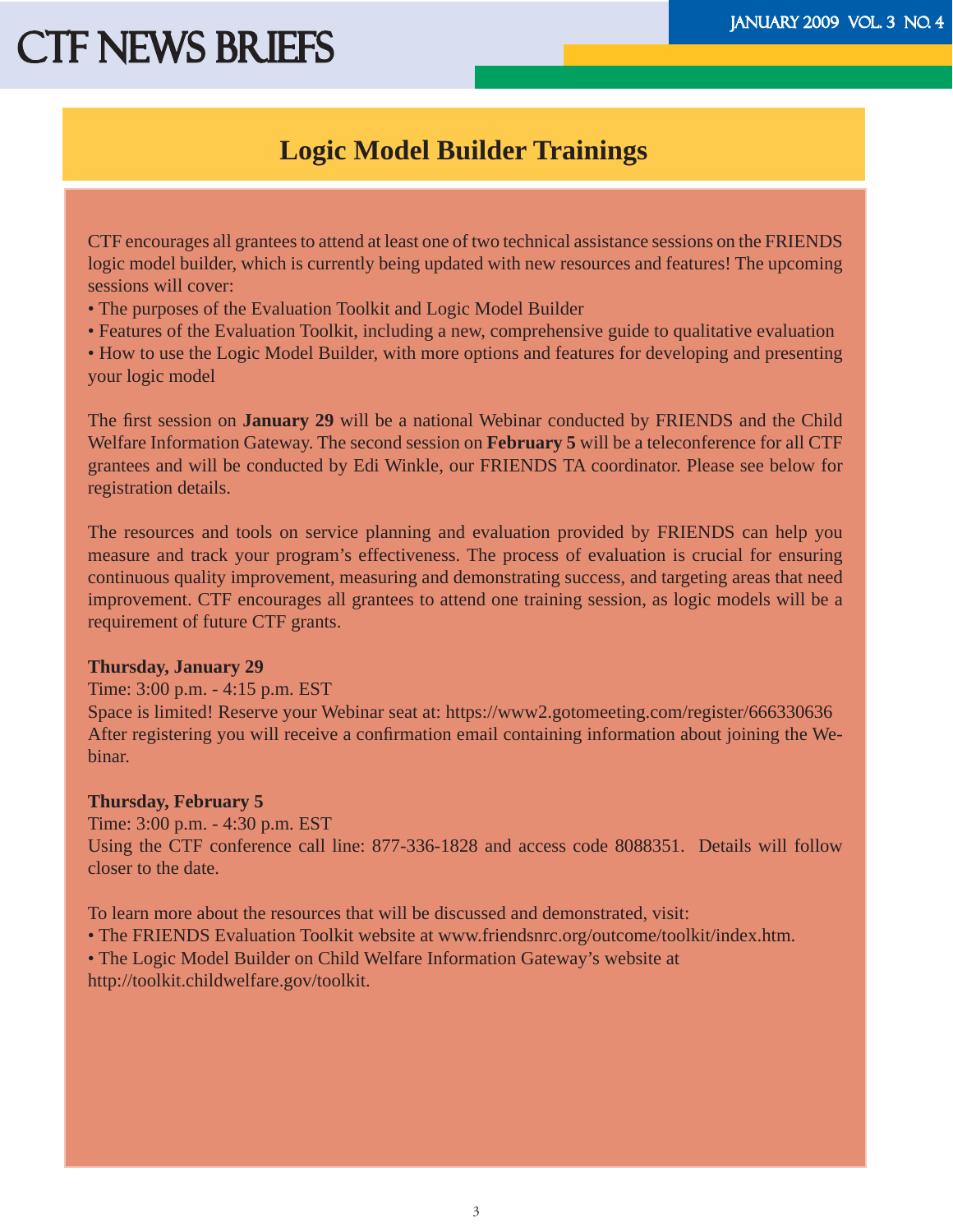# CTF NEWS BRIEFS THE TANUARY 2009 VOL. 3 NO. 4

### **Logic Model Builder Trainings**

CTF encourages all grantees to attend at least one of two technical assistance sessions on the FRIENDS logic model builder, which is currently being updated with new resources and features! The upcoming sessions will cover:

- The purposes of the Evaluation Toolkit and Logic Model Builder
- Features of the Evaluation Toolkit, including a new, comprehensive guide to qualitative evaluation
- How to use the Logic Model Builder, with more options and features for developing and presenting your logic model

The first session on **January 29** will be a national Webinar conducted by FRIENDS and the Child Welfare Information Gateway. The second session on **February 5** will be a teleconference for all CTF grantees and will be conducted by Edi Winkle, our FRIENDS TA coordinator. Please see below for registration details.

The resources and tools on service planning and evaluation provided by FRIENDS can help you measure and track your program's effectiveness. The process of evaluation is crucial for ensuring continuous quality improvement, measuring and demonstrating success, and targeting areas that need improvement. CTF encourages all grantees to attend one training session, as logic models will be a requirement of future CTF grants.

#### **Thursday, January 29**

#### Time: 3:00 p.m. - 4:15 p.m. EST

Space is limited! Reserve your Webinar seat at: https://www2.gotomeeting.com/register/666330636 After registering you will receive a confirmation email containing information about joining the Webinar.

#### **Thursday, February 5**

Time: 3:00 p.m. - 4:30 p.m. EST

Using the CTF conference call line: 877-336-1828 and access code 8088351. Details will follow closer to the date.

To learn more about the resources that will be discussed and demonstrated, visit:

- The FRIENDS Evaluation Toolkit website at www.friendsnrc.org/outcome/toolkit/index.htm.
- The Logic Model Builder on Child Welfare Information Gateway's website at

http://toolkit.childwelfare.gov/toolkit.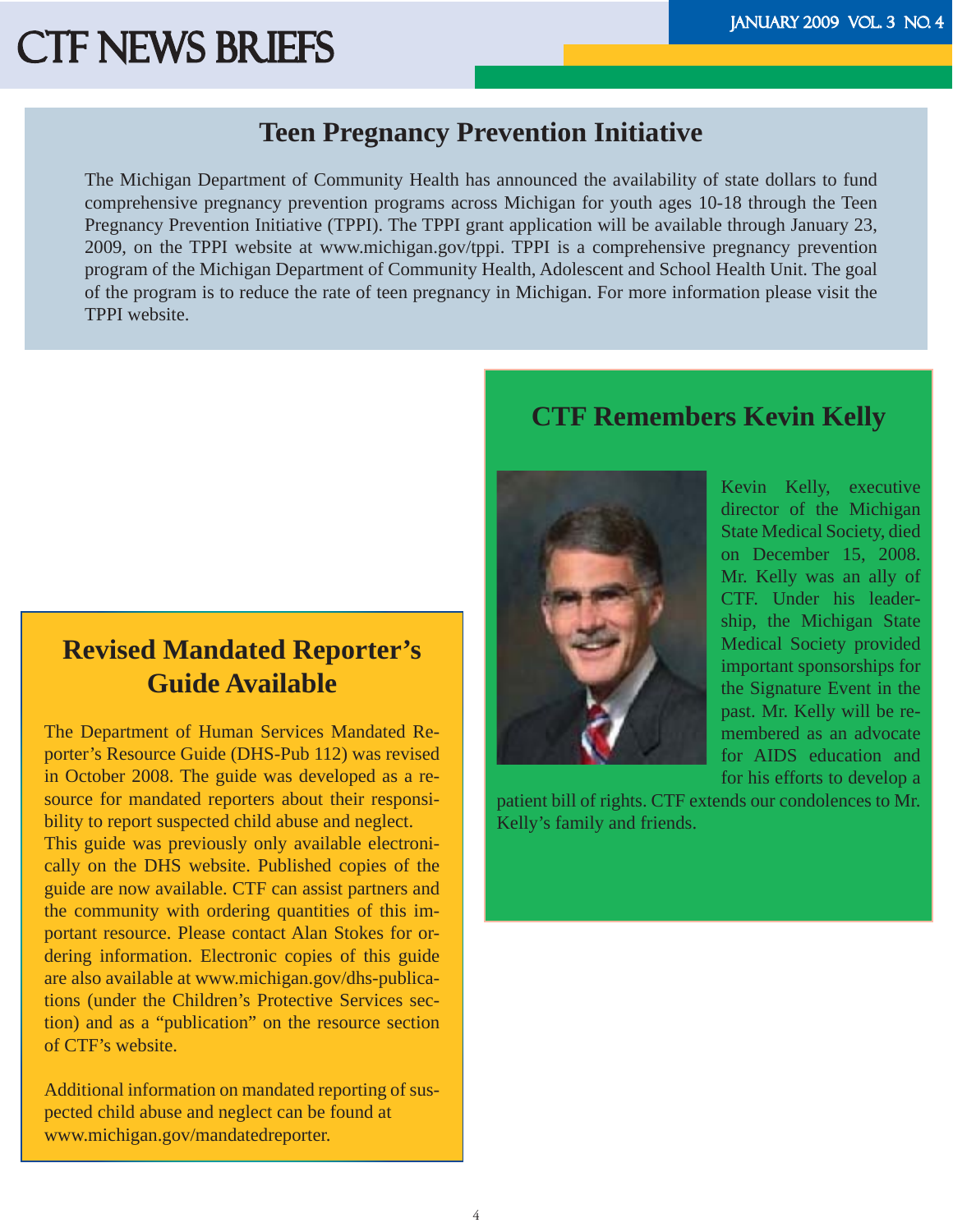# CTF NEWS BRIEFS THE TANUARY 2009 VOL. 3 NO. 4

### **Teen Pregnancy Prevention Initiative**

The Michigan Department of Community Health has announced the availability of state dollars to fund comprehensive pregnancy prevention programs across Michigan for youth ages 10-18 through the Teen Pregnancy Prevention Initiative (TPPI). The TPPI grant application will be available through January 23, 2009, on the TPPI website at www.michigan.gov/tppi. TPPI is a comprehensive pregnancy prevention program of the Michigan Department of Community Health, Adolescent and School Health Unit. The goal of the program is to reduce the rate of teen pregnancy in Michigan. For more information please visit the TPPI website.

### **Revised Mandated Reporter's Guide Available**

The Department of Human Services Mandated Reporter's Resource Guide (DHS-Pub 112) was revised in October 2008. The guide was developed as a resource for mandated reporters about their responsibility to report suspected child abuse and neglect.

This guide was previously only available electronically on the DHS website. Published copies of the guide are now available. CTF can assist partners and the community with ordering quantities of this important resource. Please contact Alan Stokes for ordering information. Electronic copies of this guide are also available at www.michigan.gov/dhs-publications (under the Children's Protective Services section) and as a "publication" on the resource section of CTF's website.

Additional information on mandated reporting of suspected child abuse and neglect can be found at www.michigan.gov/mandatedreporter.

### **CTF Remembers Kevin Kelly**



Kevin Kelly, executive director of the Michigan State Medical Society, died on December 15, 2008. Mr. Kelly was an ally of CTF. Under his leadership, the Michigan State Medical Society provided important sponsorships for the Signature Event in the past. Mr. Kelly will be remembered as an advocate for AIDS education and for his efforts to develop a

patient bill of rights. CTF extends our condolences to Mr. Kelly's family and friends.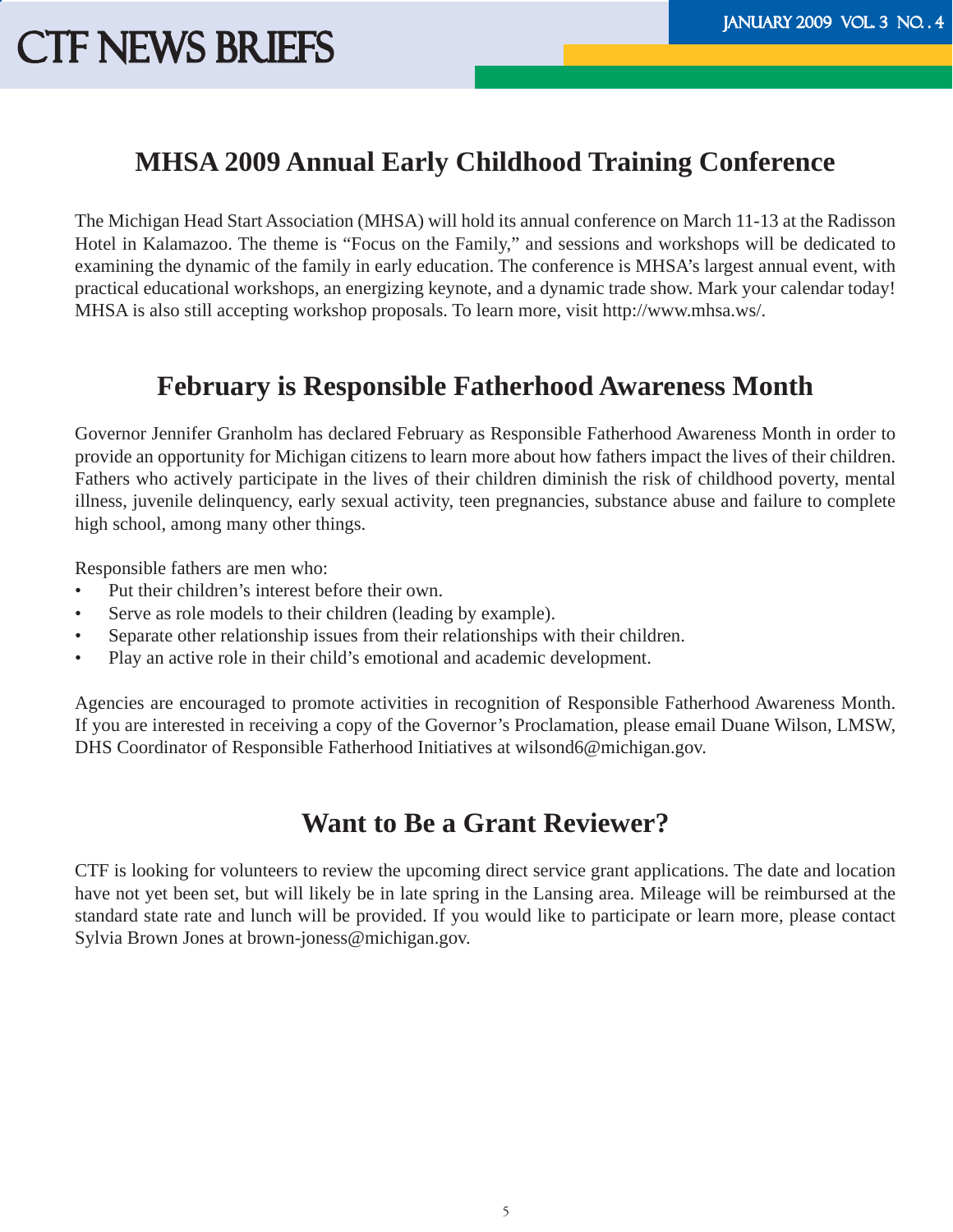# CTF NEWS BRIEFS THE TEST TELEVISION OF THE MANUARY 2009 VOL. 3 NO. . 4

### **MHSA 2009 Annual Early Childhood Training Conference**

The Michigan Head Start Association (MHSA) will hold its annual conference on March 11-13 at the Radisson Hotel in Kalamazoo. The theme is "Focus on the Family," and sessions and workshops will be dedicated to examining the dynamic of the family in early education. The conference is MHSA's largest annual event, with practical educational workshops, an energizing keynote, and a dynamic trade show. Mark your calendar today! MHSA is also still accepting workshop proposals. To learn more, visit http://www.mhsa.ws/.

### **February is Responsible Fatherhood Awareness Month**

Governor Jennifer Granholm has declared February as Responsible Fatherhood Awareness Month in order to provide an opportunity for Michigan citizens to learn more about how fathers impact the lives of their children. Fathers who actively participate in the lives of their children diminish the risk of childhood poverty, mental illness, juvenile delinquency, early sexual activity, teen pregnancies, substance abuse and failure to complete high school, among many other things.

Responsible fathers are men who:

- Put their children's interest before their own. •
- Serve as role models to their children (leading by example). •
- Separate other relationship issues from their relationships with their children. •
- Play an active role in their child's emotional and academic development. •

Agencies are encouraged to promote activities in recognition of Responsible Fatherhood Awareness Month. If you are interested in receiving a copy of the Governor's Proclamation, please email Duane Wilson, LMSW, DHS Coordinator of Responsible Fatherhood Initiatives at wilsond6@michigan.gov.

### **Want to Be a Grant Reviewer?**

CTF is looking for volunteers to review the upcoming direct service grant applications. The date and location have not yet been set, but will likely be in late spring in the Lansing area. Mileage will be reimbursed at the standard state rate and lunch will be provided. If you would like to participate or learn more, please contact Sylvia Brown Jones at brown-joness@michigan.gov.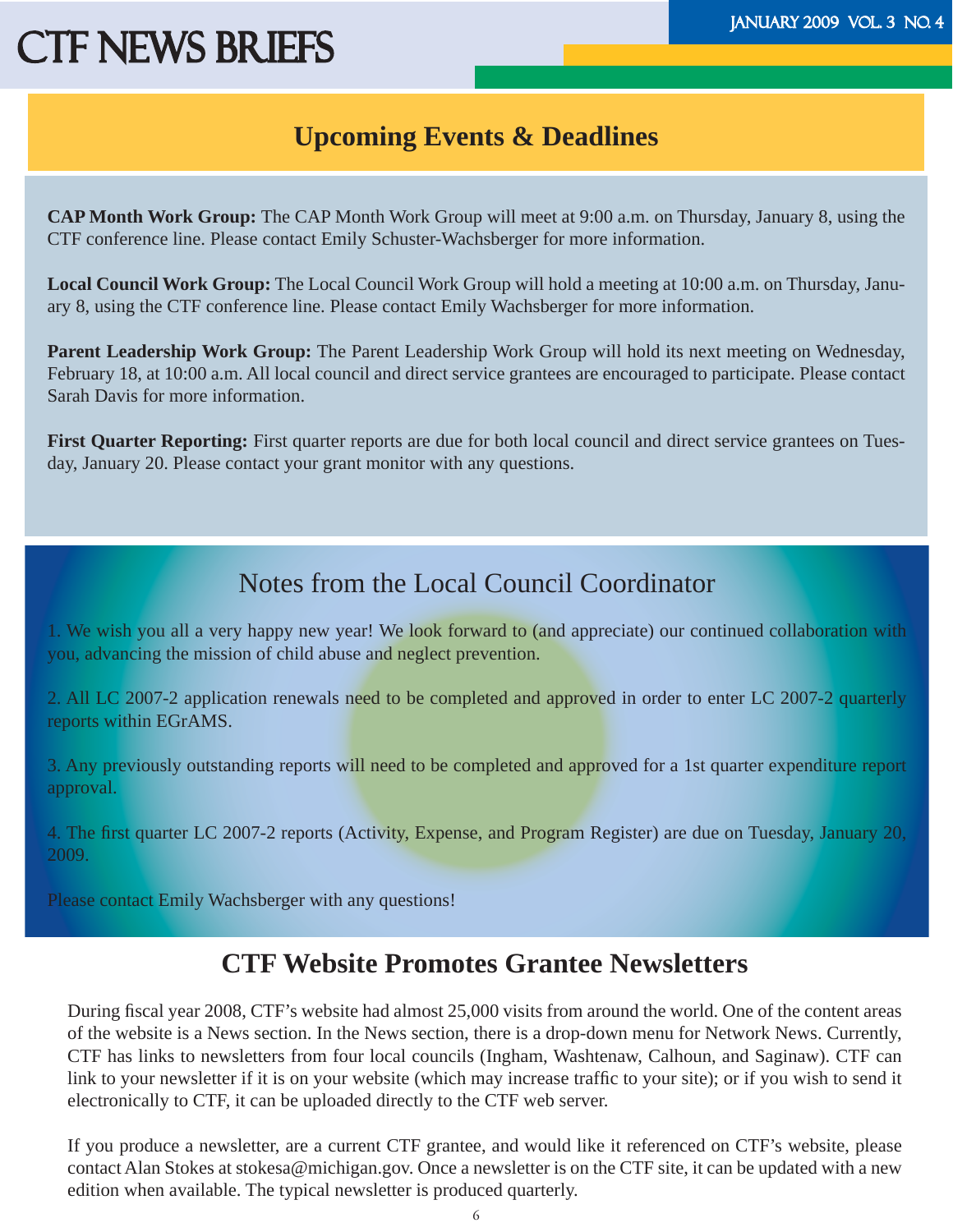# CTF NEWS BRIEFS THE TEST TELEVISION OF THE TANUARY 2009 VOL. 3 NO. 4

### **Upcoming Events & Deadlines**

**CAP Month Work Group:** The CAP Month Work Group will meet at 9:00 a.m. on Thursday, January 8, using the CTF conference line. Please contact Emily Schuster-Wachsberger for more information.

**Local Council Work Group:** The Local Council Work Group will hold a meeting at 10:00 a.m. on Thursday, January 8, using the CTF conference line. Please contact Emily Wachsberger for more information.

**Parent Leadership Work Group:** The Parent Leadership Work Group will hold its next meeting on Wednesday, February 18, at 10:00 a.m. All local council and direct service grantees are encouraged to participate. Please contact Sarah Davis for more information.

**First Quarter Reporting:** First quarter reports are due for both local council and direct service grantees on Tuesday, January 20. Please contact your grant monitor with any questions.

### Notes from the Local Council Coordinator

1. We wish you all a very happy new year! We look forward to (and appreciate) our continued collaboration with you, advancing the mission of child abuse and neglect prevention.

2. All LC 2007-2 application renewals need to be completed and approved in order to enter LC 2007-2 quarterly reports within EGrAMS.

3. Any previously outstanding reports will need to be completed and approved for a 1st quarter expenditure report approval.

4. The first quarter LC 2007-2 reports (Activity, Expense, and Program Register) are due on Tuesday, January 20, 2009.

Please contact Emily Wachsberger with any questions!

### **CTF Website Promotes Grantee Newsletters**

During fiscal year 2008, CTF's website had almost 25,000 visits from around the world. One of the content areas of the website is a News section. In the News section, there is a drop-down menu for Network News. Currently, CTF has links to newsletters from four local councils (Ingham, Washtenaw, Calhoun, and Saginaw). CTF can link to your newsletter if it is on your website (which may increase traffic to your site); or if you wish to send it electronically to CTF, it can be uploaded directly to the CTF web server.

If you produce a newsletter, are a current CTF grantee, and would like it referenced on CTF's website, please contact Alan Stokes at stokesa@michigan.gov. Once a newsletter is on the CTF site, it can be updated with a new edition when available. The typical newsletter is produced quarterly.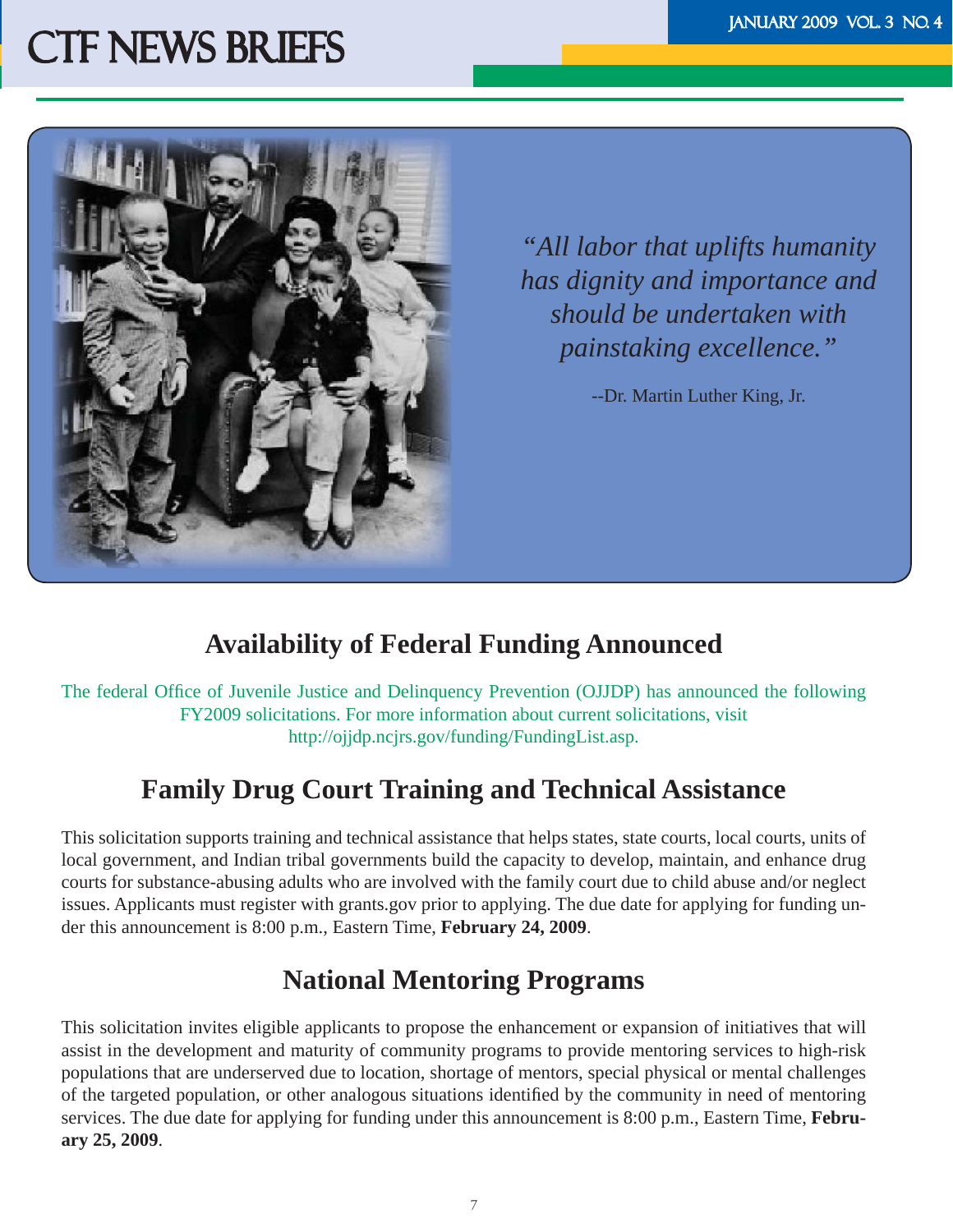### **CTF NEWS BRIEFS**



*"All labor that uplifts humanity has dignity and importance and should be undertaken with painstaking excellence."*

--Dr. Martin Luther King, Jr.

### **Availability of Federal Funding Announced**

The federal Office of Juvenile Justice and Delinquency Prevention (OJJDP) has announced the following FY2009 solicitations. For more information about current solicitations, visit http://ojjdp.ncjrs.gov/funding/FundingList.asp.

### **Family Drug Court Training and Technical Assistance**

This solicitation supports training and technical assistance that helps states, state courts, local courts, units of local government, and Indian tribal governments build the capacity to develop, maintain, and enhance drug courts for substance-abusing adults who are involved with the family court due to child abuse and/or neglect issues. Applicants must register with grants.gov prior to applying. The due date for applying for funding under this announcement is 8:00 p.m., Eastern Time, **February 24, 2009**.

### **National Mentoring Programs**

This solicitation invites eligible applicants to propose the enhancement or expansion of initiatives that will assist in the development and maturity of community programs to provide mentoring services to high-risk populations that are underserved due to location, shortage of mentors, special physical or mental challenges of the targeted population, or other analogous situations identified by the community in need of mentoring services. The due date for applying for funding under this announcement is 8:00 p.m., Eastern Time, **February 25, 2009**.